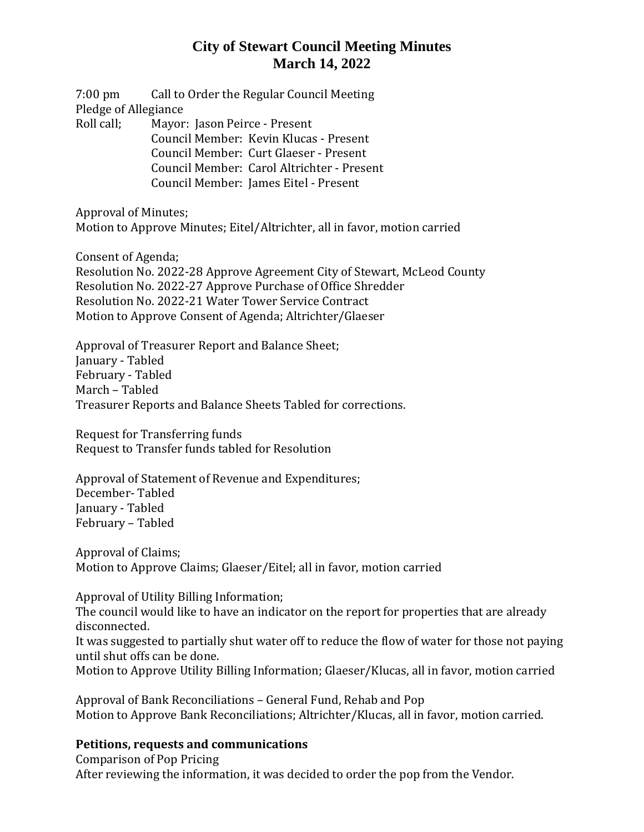7:00 pm Call to Order the Regular Council Meeting Pledge of Allegiance Roll call; Mayor: Jason Peirce - Present Council Member: Kevin Klucas - Present Council Member: Curt Glaeser - Present Council Member: Carol Altrichter - Present Council Member: James Eitel - Present

Approval of Minutes; Motion to Approve Minutes; Eitel/Altrichter, all in favor, motion carried

Consent of Agenda;

Resolution No. 2022-28 Approve Agreement City of Stewart, McLeod County Resolution No. 2022-27 Approve Purchase of Office Shredder Resolution No. 2022-21 Water Tower Service Contract Motion to Approve Consent of Agenda; Altrichter/Glaeser

Approval of Treasurer Report and Balance Sheet; January - Tabled February - Tabled March – Tabled Treasurer Reports and Balance Sheets Tabled for corrections.

Request for Transferring funds Request to Transfer funds tabled for Resolution

Approval of Statement of Revenue and Expenditures; December- Tabled January - Tabled February – Tabled

Approval of Claims; Motion to Approve Claims; Glaeser/Eitel; all in favor, motion carried

Approval of Utility Billing Information;

The council would like to have an indicator on the report for properties that are already disconnected.

It was suggested to partially shut water off to reduce the flow of water for those not paying until shut offs can be done.

Motion to Approve Utility Billing Information; Glaeser/Klucas, all in favor, motion carried

Approval of Bank Reconciliations – General Fund, Rehab and Pop Motion to Approve Bank Reconciliations; Altrichter/Klucas, all in favor, motion carried.

### **Petitions, requests and communications**

Comparison of Pop Pricing After reviewing the information, it was decided to order the pop from the Vendor.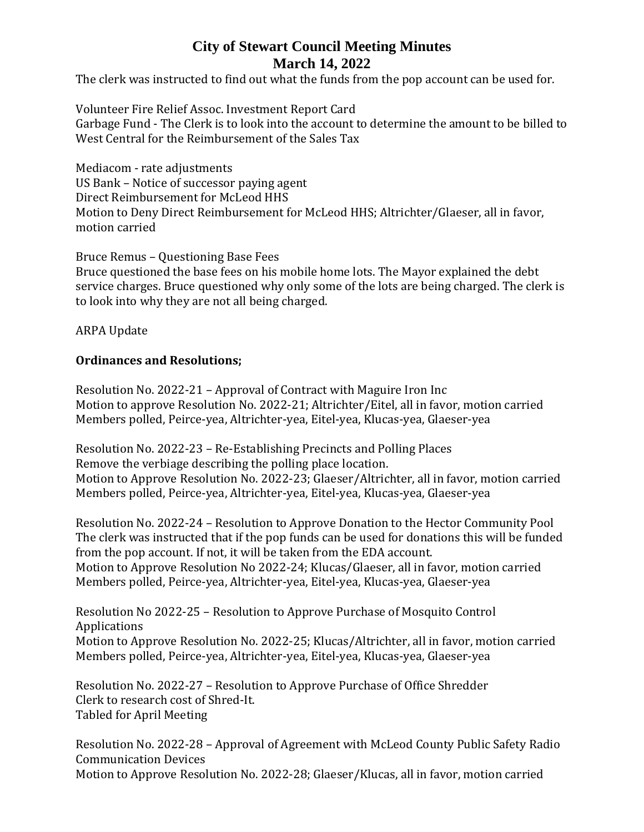The clerk was instructed to find out what the funds from the pop account can be used for.

Volunteer Fire Relief Assoc. Investment Report Card Garbage Fund - The Clerk is to look into the account to determine the amount to be billed to West Central for the Reimbursement of the Sales Tax

Mediacom - rate adjustments US Bank – Notice of successor paying agent Direct Reimbursement for McLeod HHS Motion to Deny Direct Reimbursement for McLeod HHS; Altrichter/Glaeser, all in favor, motion carried

Bruce Remus – Questioning Base Fees Bruce questioned the base fees on his mobile home lots. The Mayor explained the debt service charges. Bruce questioned why only some of the lots are being charged. The clerk is to look into why they are not all being charged.

ARPA Update

### **Ordinances and Resolutions;**

Resolution No. 2022-21 – Approval of Contract with Maguire Iron Inc Motion to approve Resolution No. 2022-21; Altrichter/Eitel, all in favor, motion carried Members polled, Peirce-yea, Altrichter-yea, Eitel-yea, Klucas-yea, Glaeser-yea

Resolution No. 2022-23 – Re-Establishing Precincts and Polling Places Remove the verbiage describing the polling place location. Motion to Approve Resolution No. 2022-23; Glaeser/Altrichter, all in favor, motion carried Members polled, Peirce-yea, Altrichter-yea, Eitel-yea, Klucas-yea, Glaeser-yea

Resolution No. 2022-24 – Resolution to Approve Donation to the Hector Community Pool The clerk was instructed that if the pop funds can be used for donations this will be funded from the pop account. If not, it will be taken from the EDA account. Motion to Approve Resolution No 2022-24; Klucas/Glaeser, all in favor, motion carried Members polled, Peirce-yea, Altrichter-yea, Eitel-yea, Klucas-yea, Glaeser-yea

Resolution No 2022-25 – Resolution to Approve Purchase of Mosquito Control Applications Motion to Approve Resolution No. 2022-25; Klucas/Altrichter, all in favor, motion carried Members polled, Peirce-yea, Altrichter-yea, Eitel-yea, Klucas-yea, Glaeser-yea

Resolution No. 2022-27 – Resolution to Approve Purchase of Office Shredder Clerk to research cost of Shred-It. Tabled for April Meeting

Resolution No. 2022-28 – Approval of Agreement with McLeod County Public Safety Radio Communication Devices Motion to Approve Resolution No. 2022-28; Glaeser/Klucas, all in favor, motion carried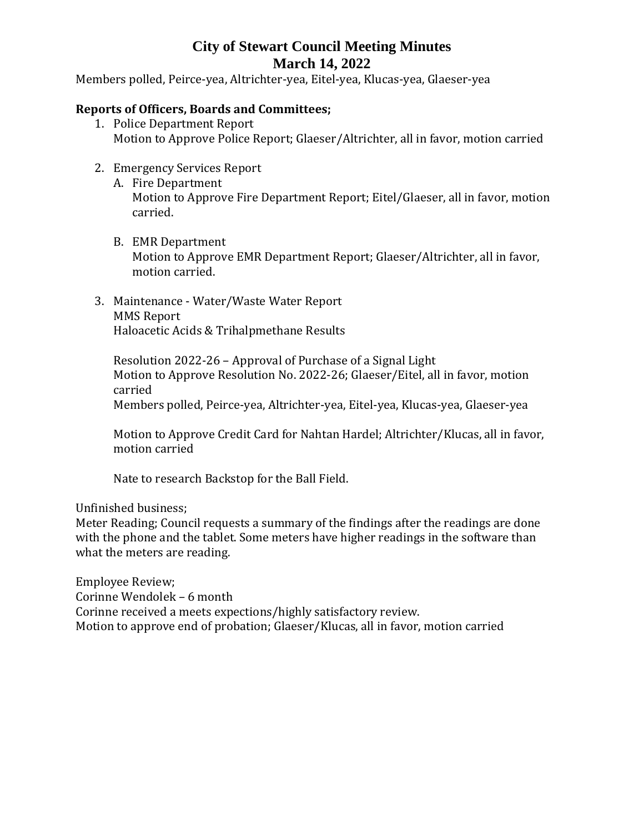Members polled, Peirce-yea, Altrichter-yea, Eitel-yea, Klucas-yea, Glaeser-yea

### **Reports of Officers, Boards and Committees;**

- 1. Police Department Report Motion to Approve Police Report; Glaeser/Altrichter, all in favor, motion carried
- 2. Emergency Services Report
	- A. Fire Department Motion to Approve Fire Department Report; Eitel/Glaeser, all in favor, motion carried.
	- B. EMR Department Motion to Approve EMR Department Report; Glaeser/Altrichter, all in favor, motion carried.
- 3. Maintenance Water/Waste Water Report MMS Report Haloacetic Acids & Trihalpmethane Results

Resolution 2022-26 – Approval of Purchase of a Signal Light Motion to Approve Resolution No. 2022-26; Glaeser/Eitel, all in favor, motion carried

Members polled, Peirce-yea, Altrichter-yea, Eitel-yea, Klucas-yea, Glaeser-yea

Motion to Approve Credit Card for Nahtan Hardel; Altrichter/Klucas, all in favor, motion carried

Nate to research Backstop for the Ball Field.

Unfinished business;

Meter Reading; Council requests a summary of the findings after the readings are done with the phone and the tablet. Some meters have higher readings in the software than what the meters are reading.

Employee Review; Corinne Wendolek – 6 month Corinne received a meets expections/highly satisfactory review. Motion to approve end of probation; Glaeser/Klucas, all in favor, motion carried